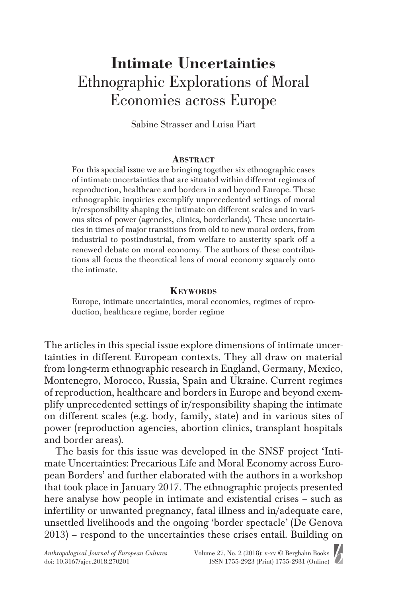# **Intimate Uncertainties** Ethnographic Explorations of Moral Economies across Europe

Sabine Strasser and Luisa Piart

#### **Abstract**

For this special issue we are bringing together six ethnographic cases of intimate uncertainties that are situated within different regimes of reproduction, healthcare and borders in and beyond Europe. These ethnographic inquiries exemplify unprecedented settings of moral ir/responsibility shaping the intimate on different scales and in various sites of power (agencies, clinics, borderlands). These uncertainties in times of major transitions from old to new moral orders, from industrial to postindustrial, from welfare to austerity spark off a renewed debate on moral economy. The authors of these contributions all focus the theoretical lens of moral economy squarely onto the intimate.

#### **Keywords**

Europe, intimate uncertainties, moral economies, regimes of reproduction, healthcare regime, border regime

The articles in this special issue explore dimensions of intimate uncertainties in different European contexts. They all draw on material from long-term ethnographic research in England, Germany, Mexico, Montenegro, Morocco, Russia, Spain and Ukraine. Current regimes of reproduction, healthcare and borders in Europe and beyond exemplify unprecedented settings of ir/responsibility shaping the intimate on different scales (e.g. body, family, state) and in various sites of power (reproduction agencies, abortion clinics, transplant hospitals and border areas).

The basis for this issue was developed in the SNSF project 'Intimate Uncertainties: Precarious Life and Moral Economy across European Borders' and further elaborated with the authors in a workshop that took place in January 2017. The ethnographic projects presented here analyse how people in intimate and existential crises – such as infertility or unwanted pregnancy, fatal illness and in/adequate care, unsettled livelihoods and the ongoing 'border spectacle' (De Genova 2013) – respond to the uncertainties these crises entail. Building on

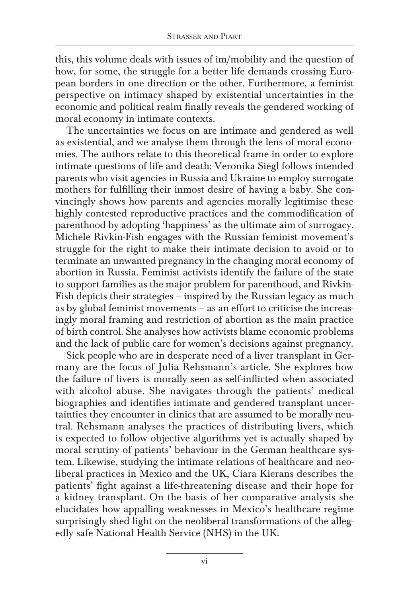this, this volume deals with issues of im/mobility and the question of how, for some, the struggle for a better life demands crossing European borders in one direction or the other. Furthermore, a feminist perspective on intimacy shaped by existential uncertainties in the economic and political realm finally reveals the gendered working of moral economy in intimate contexts.

The uncertainties we focus on are intimate and gendered as well as existential, and we analyse them through the lens of moral economies. The authors relate to this theoretical frame in order to explore intimate questions of life and death: Veronika Siegl follows intended parents who visit agencies in Russia and Ukraine to employ surrogate mothers for fulfilling their inmost desire of having a baby. She convincingly shows how parents and agencies morally legitimise these highly contested reproductive practices and the commodification of parenthood by adopting 'happiness' as the ultimate aim of surrogacy. Michele Rivkin-Fish engages with the Russian feminist movement's struggle for the right to make their intimate decision to avoid or to terminate an unwanted pregnancy in the changing moral economy of abortion in Russia. Feminist activists identify the failure of the state to support families as the major problem for parenthood, and Rivkin-Fish depicts their strategies – inspired by the Russian legacy as much as by global feminist movements – as an effort to criticise the increasingly moral framing and restriction of abortion as the main practice of birth control. She analyses how activists blame economic problems and the lack of public care for women's decisions against pregnancy.

Sick people who are in desperate need of a liver transplant in Germany are the focus of Julia Rehsmann's article. She explores how the failure of livers is morally seen as self-inflicted when associated with alcohol abuse. She navigates through the patients' medical biographies and identifies intimate and gendered transplant uncertainties they encounter in clinics that are assumed to be morally neutral. Rehsmann analyses the practices of distributing livers, which is expected to follow objective algorithms yet is actually shaped by moral scrutiny of patients' behaviour in the German healthcare system. Likewise, studying the intimate relations of healthcare and neoliberal practices in Mexico and the UK, Ciara Kierans describes the patients' fight against a life-threatening disease and their hope for a kidney transplant. On the basis of her comparative analysis she elucidates how appalling weaknesses in Mexico's healthcare regime surprisingly shed light on the neoliberal transformations of the allegedly safe National Health Service (NHS) in the UK.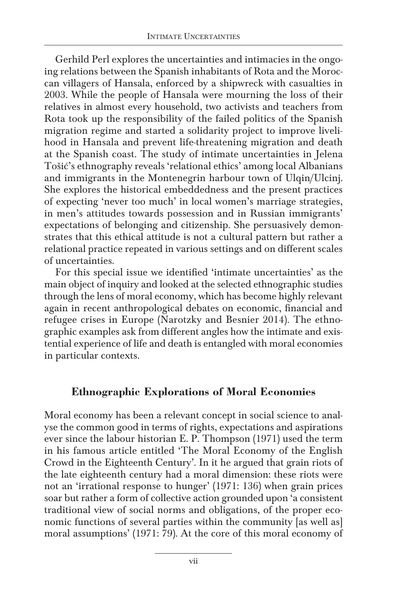Gerhild Perl explores the uncertainties and intimacies in the ongoing relations between the Spanish inhabitants of Rota and the Moroccan villagers of Hansala, enforced by a shipwreck with casualties in 2003. While the people of Hansala were mourning the loss of their relatives in almost every household, two activists and teachers from Rota took up the responsibility of the failed politics of the Spanish migration regime and started a solidarity project to improve livelihood in Hansala and prevent life-threatening migration and death at the Spanish coast. The study of intimate uncertainties in Jelena Tošić's ethnography reveals 'relational ethics' among local Albanians and immigrants in the Montenegrin harbour town of Ulqin/Ulcinj. She explores the historical embeddedness and the present practices of expecting 'never too much' in local women's marriage strategies, in men's attitudes towards possession and in Russian immigrants' expectations of belonging and citizenship. She persuasively demonstrates that this ethical attitude is not a cultural pattern but rather a relational practice repeated in various settings and on different scales of uncertainties.

For this special issue we identified 'intimate uncertainties' as the main object of inquiry and looked at the selected ethnographic studies through the lens of moral economy, which has become highly relevant again in recent anthropological debates on economic, financial and refugee crises in Europe (Narotzky and Besnier 2014). The ethnographic examples ask from different angles how the intimate and existential experience of life and death is entangled with moral economies in particular contexts.

## **Ethnographic Explorations of Moral Economies**

Moral economy has been a relevant concept in social science to analyse the common good in terms of rights, expectations and aspirations ever since the labour historian E. P. Thompson (1971) used the term in his famous article entitled 'The Moral Economy of the English Crowd in the Eighteenth Century'. In it he argued that grain riots of the late eighteenth century had a moral dimension: these riots were not an 'irrational response to hunger' (1971: 136) when grain prices soar but rather a form of collective action grounded upon 'a consistent traditional view of social norms and obligations, of the proper economic functions of several parties within the community [as well as] moral assumptions' (1971: 79). At the core of this moral economy of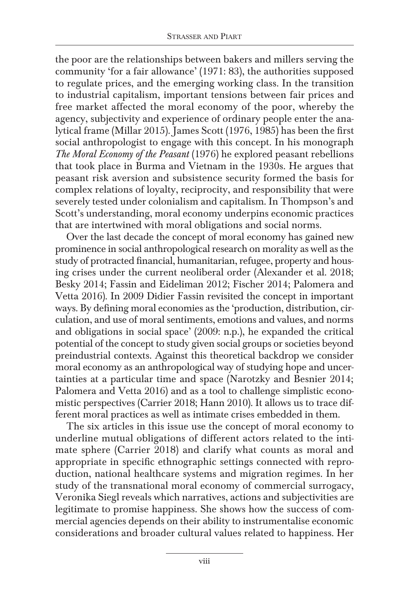the poor are the relationships between bakers and millers serving the community 'for a fair allowance' (1971: 83), the authorities supposed to regulate prices, and the emerging working class. In the transition to industrial capitalism, important tensions between fair prices and free market affected the moral economy of the poor, whereby the agency, subjectivity and experience of ordinary people enter the analytical frame (Millar 2015). James Scott (1976, 1985) has been the first social anthropologist to engage with this concept. In his monograph *The Moral Economy of the Peasant* (1976) he explored peasant rebellions that took place in Burma and Vietnam in the 1930s. He argues that peasant risk aversion and subsistence security formed the basis for complex relations of loyalty, reciprocity, and responsibility that were severely tested under colonialism and capitalism. In Thompson's and Scott's understanding, moral economy underpins economic practices that are intertwined with moral obligations and social norms.

Over the last decade the concept of moral economy has gained new prominence in social anthropological research on morality as well as the study of protracted financial, humanitarian, refugee, property and housing crises under the current neoliberal order (Alexander et al. 2018; Besky 2014; Fassin and Eideliman 2012; Fischer 2014; Palomera and Vetta 2016). In 2009 Didier Fassin revisited the concept in important ways. By defining moral economies as the 'production, distribution, circulation, and use of moral sentiments, emotions and values, and norms and obligations in social space' (2009: n.p.), he expanded the critical potential of the concept to study given social groups or societies beyond preindustrial contexts. Against this theoretical backdrop we consider moral economy as an anthropological way of studying hope and uncertainties at a particular time and space (Narotzky and Besnier 2014; Palomera and Vetta 2016) and as a tool to challenge simplistic economistic perspectives (Carrier 2018; Hann 2010). It allows us to trace different moral practices as well as intimate crises embedded in them.

The six articles in this issue use the concept of moral economy to underline mutual obligations of different actors related to the intimate sphere (Carrier 2018) and clarify what counts as moral and appropriate in specific ethnographic settings connected with reproduction, national healthcare systems and migration regimes. In her study of the transnational moral economy of commercial surrogacy, Veronika Siegl reveals which narratives, actions and subjectivities are legitimate to promise happiness. She shows how the success of commercial agencies depends on their ability to instrumentalise economic considerations and broader cultural values related to happiness. Her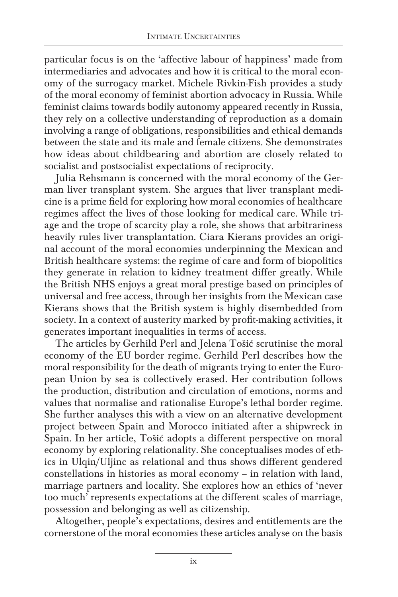particular focus is on the 'affective labour of happiness' made from intermediaries and advocates and how it is critical to the moral economy of the surrogacy market. Michele Rivkin-Fish provides a study of the moral economy of feminist abortion advocacy in Russia. While feminist claims towards bodily autonomy appeared recently in Russia, they rely on a collective understanding of reproduction as a domain involving a range of obligations, responsibilities and ethical demands between the state and its male and female citizens. She demonstrates how ideas about childbearing and abortion are closely related to socialist and postsocialist expectations of reciprocity.

Julia Rehsmann is concerned with the moral economy of the German liver transplant system. She argues that liver transplant medicine is a prime field for exploring how moral economies of healthcare regimes affect the lives of those looking for medical care. While triage and the trope of scarcity play a role, she shows that arbitrariness heavily rules liver transplantation. Ciara Kierans provides an original account of the moral economies underpinning the Mexican and British healthcare systems: the regime of care and form of biopolitics they generate in relation to kidney treatment differ greatly. While the British NHS enjoys a great moral prestige based on principles of universal and free access, through her insights from the Mexican case Kierans shows that the British system is highly disembedded from society. In a context of austerity marked by profit-making activities, it generates important inequalities in terms of access.

The articles by Gerhild Perl and Jelena Tošić scrutinise the moral economy of the EU border regime. Gerhild Perl describes how the moral responsibility for the death of migrants trying to enter the European Union by sea is collectively erased. Her contribution follows the production, distribution and circulation of emotions, norms and values that normalise and rationalise Europe's lethal border regime. She further analyses this with a view on an alternative development project between Spain and Morocco initiated after a shipwreck in Spain. In her article, Tošić adopts a different perspective on moral economy by exploring relationality. She conceptualises modes of ethics in Ulqin/Uljinc as relational and thus shows different gendered constellations in histories as moral economy – in relation with land, marriage partners and locality. She explores how an ethics of 'never too much' represents expectations at the different scales of marriage, possession and belonging as well as citizenship.

Altogether, people's expectations, desires and entitlements are the cornerstone of the moral economies these articles analyse on the basis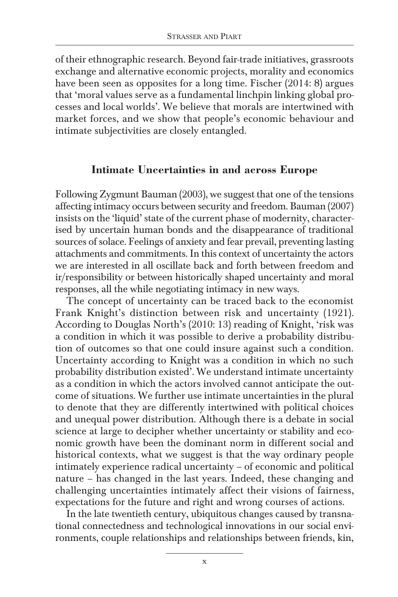of their ethnographic research. Beyond fair-trade initiatives, grassroots exchange and alternative economic projects, morality and economics have been seen as opposites for a long time. Fischer (2014: 8) argues that 'moral values serve as a fundamental linchpin linking global processes and local worlds'. We believe that morals are intertwined with market forces, and we show that people's economic behaviour and intimate subjectivities are closely entangled.

#### **Intimate Uncertainties in and across Europe**

Following Zygmunt Bauman (2003), we suggest that one of the tensions affecting intimacy occurs between security and freedom. Bauman (2007) insists on the 'liquid' state of the current phase of modernity, characterised by uncertain human bonds and the disappearance of traditional sources of solace. Feelings of anxiety and fear prevail, preventing lasting attachments and commitments. In this context of uncertainty the actors we are interested in all oscillate back and forth between freedom and ir/responsibility or between historically shaped uncertainty and moral responses, all the while negotiating intimacy in new ways.

The concept of uncertainty can be traced back to the economist Frank Knight's distinction between risk and uncertainty (1921). According to Douglas North's (2010: 13) reading of Knight, 'risk was a condition in which it was possible to derive a probability distribution of outcomes so that one could insure against such a condition. Uncertainty according to Knight was a condition in which no such probability distribution existed'. We understand intimate uncertainty as a condition in which the actors involved cannot anticipate the outcome of situations. We further use intimate uncertainties in the plural to denote that they are differently intertwined with political choices and unequal power distribution. Although there is a debate in social science at large to decipher whether uncertainty or stability and economic growth have been the dominant norm in different social and historical contexts, what we suggest is that the way ordinary people intimately experience radical uncertainty – of economic and political nature – has changed in the last years. Indeed, these changing and challenging uncertainties intimately affect their visions of fairness, expectations for the future and right and wrong courses of actions.

In the late twentieth century, ubiquitous changes caused by transnational connectedness and technological innovations in our social environments, couple relationships and relationships between friends, kin,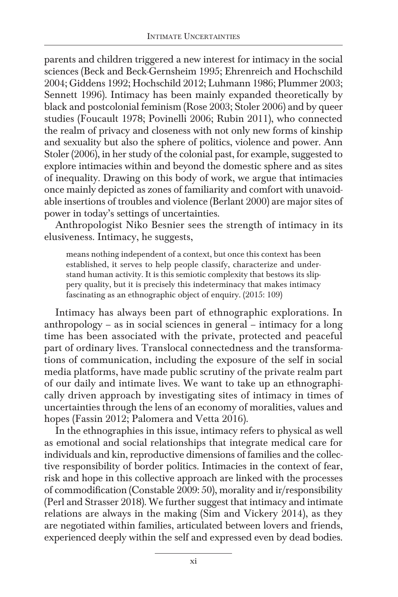parents and children triggered a new interest for intimacy in the social sciences (Beck and Beck-Gernsheim 1995; Ehrenreich and Hochschild 2004; Giddens 1992; Hochschild 2012; Luhmann 1986; Plummer 2003; Sennett 1996). Intimacy has been mainly expanded theoretically by black and postcolonial feminism (Rose 2003; Stoler 2006) and by queer studies (Foucault 1978; Povinelli 2006; Rubin 2011), who connected the realm of privacy and closeness with not only new forms of kinship and sexuality but also the sphere of politics, violence and power. Ann Stoler (2006), in her study of the colonial past, for example, suggested to explore intimacies within and beyond the domestic sphere and as sites of inequality. Drawing on this body of work, we argue that intimacies once mainly depicted as zones of familiarity and comfort with unavoidable insertions of troubles and violence (Berlant 2000) are major sites of power in today's settings of uncertainties.

Anthropologist Niko Besnier sees the strength of intimacy in its elusiveness. Intimacy, he suggests,

means nothing independent of a context, but once this context has been established, it serves to help people classify, characterize and understand human activity. It is this semiotic complexity that bestows its slippery quality, but it is precisely this indeterminacy that makes intimacy fascinating as an ethnographic object of enquiry. (2015: 109)

Intimacy has always been part of ethnographic explorations. In anthropology – as in social sciences in general – intimacy for a long time has been associated with the private, protected and peaceful part of ordinary lives. Translocal connectedness and the transformations of communication, including the exposure of the self in social media platforms, have made public scrutiny of the private realm part of our daily and intimate lives. We want to take up an ethnographically driven approach by investigating sites of intimacy in times of uncertainties through the lens of an economy of moralities, values and hopes (Fassin 2012; Palomera and Vetta 2016).

In the ethnographies in this issue, intimacy refers to physical as well as emotional and social relationships that integrate medical care for individuals and kin, reproductive dimensions of families and the collective responsibility of border politics. Intimacies in the context of fear, risk and hope in this collective approach are linked with the processes of commodification (Constable 2009: 50), morality and ir/responsibility (Perl and Strasser 2018). We further suggest that intimacy and intimate relations are always in the making (Sim and Vickery 2014), as they are negotiated within families, articulated between lovers and friends, experienced deeply within the self and expressed even by dead bodies.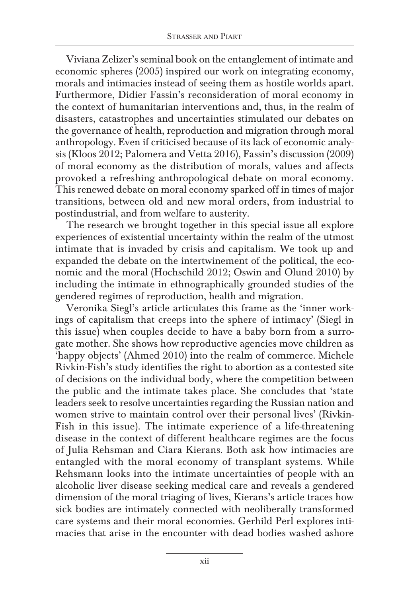Viviana Zelizer's seminal book on the entanglement of intimate and economic spheres (2005) inspired our work on integrating economy, morals and intimacies instead of seeing them as hostile worlds apart. Furthermore, Didier Fassin's reconsideration of moral economy in the context of humanitarian interventions and, thus, in the realm of disasters, catastrophes and uncertainties stimulated our debates on the governance of health, reproduction and migration through moral anthropology. Even if criticised because of its lack of economic analysis (Kloos 2012; Palomera and Vetta 2016), Fassin's discussion (2009) of moral economy as the distribution of morals, values and affects provoked a refreshing anthropological debate on moral economy. This renewed debate on moral economy sparked off in times of major transitions, between old and new moral orders, from industrial to postindustrial, and from welfare to austerity.

The research we brought together in this special issue all explore experiences of existential uncertainty within the realm of the utmost intimate that is invaded by crisis and capitalism. We took up and expanded the debate on the intertwinement of the political, the economic and the moral (Hochschild 2012; Oswin and Olund 2010) by including the intimate in ethnographically grounded studies of the gendered regimes of reproduction, health and migration.

Veronika Siegl's article articulates this frame as the 'inner workings of capitalism that creeps into the sphere of intimacy' (Siegl in this issue) when couples decide to have a baby born from a surrogate mother. She shows how reproductive agencies move children as 'happy objects' (Ahmed 2010) into the realm of commerce. Michele Rivkin-Fish's study identifies the right to abortion as a contested site of decisions on the individual body, where the competition between the public and the intimate takes place. She concludes that 'state leaders seek to resolve uncertainties regarding the Russian nation and women strive to maintain control over their personal lives' (Rivkin-Fish in this issue). The intimate experience of a life-threatening disease in the context of different healthcare regimes are the focus of Julia Rehsman and Ciara Kierans. Both ask how intimacies are entangled with the moral economy of transplant systems. While Rehsmann looks into the intimate uncertainties of people with an alcoholic liver disease seeking medical care and reveals a gendered dimension of the moral triaging of lives, Kierans's article traces how sick bodies are intimately connected with neoliberally transformed care systems and their moral economies. Gerhild Perl explores intimacies that arise in the encounter with dead bodies washed ashore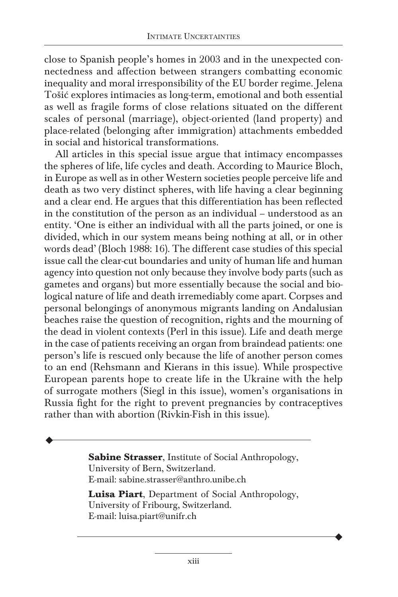close to Spanish people's homes in 2003 and in the unexpected connectedness and affection between strangers combatting economic inequality and moral irresponsibility of the EU border regime. Jelena Tošić explores intimacies as long-term, emotional and both essential as well as fragile forms of close relations situated on the different scales of personal (marriage), object-oriented (land property) and place-related (belonging after immigration) attachments embedded in social and historical transformations.

All articles in this special issue argue that intimacy encompasses the spheres of life, life cycles and death. According to Maurice Bloch, in Europe as well as in other Western societies people perceive life and death as two very distinct spheres, with life having a clear beginning and a clear end. He argues that this differentiation has been reflected in the constitution of the person as an individual – understood as an entity. 'One is either an individual with all the parts joined, or one is divided, which in our system means being nothing at all, or in other words dead' (Bloch 1988: 16). The different case studies of this special issue call the clear-cut boundaries and unity of human life and human agency into question not only because they involve body parts (such as gametes and organs) but more essentially because the social and biological nature of life and death irremediably come apart. Corpses and personal belongings of anonymous migrants landing on Andalusian beaches raise the question of recognition, rights and the mourning of the dead in violent contexts (Perl in this issue). Life and death merge in the case of patients receiving an organ from braindead patients: one person's life is rescued only because the life of another person comes to an end (Rehsmann and Kierans in this issue). While prospective European parents hope to create life in the Ukraine with the help of surrogate mothers (Siegl in this issue), women's organisations in Russia fight for the right to prevent pregnancies by contraceptives rather than with abortion (Rivkin-Fish in this issue).

> **Sabine Strasser**, Institute of Social Anthropology, University of Bern, Switzerland. E-mail: sabine.strasser@anthro.unibe.ch

◆

**Luisa Piart**, Department of Social Anthropology, University of Fribourg, Switzerland. E-mail: luisa.piart@unifr.ch

◆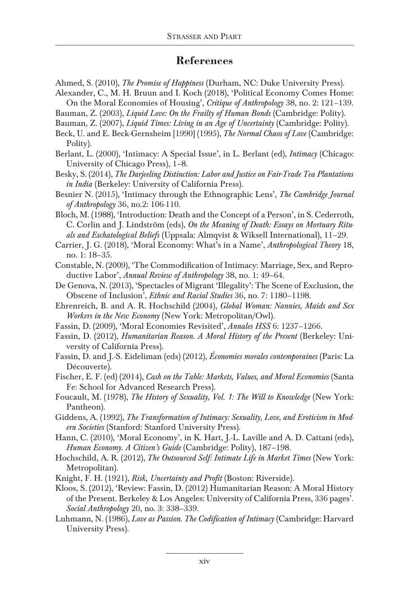### **References**

- Ahmed, S. (2010), *The Promise of Happiness* (Durham, NC: Duke University Press).
- Alexander, C., M. H. Bruun and I. Koch (2018), 'Political Economy Comes Home: On the Moral Economies of Housing', *Critique of Anthropology* 38, no. 2: 121–139.
- Bauman, Z. (2003), *Liquid Love: On the Frailty of Human Bonds* (Cambridge: Polity).
- Bauman, Z. (2007), *Liquid Times: Living in an Age of Uncertainty* (Cambridge: Polity).
- Beck, U. and E. Beck-Gernsheim [1990] (1995), *The Normal Chaos of Love* (Cambridge: Polity).
- Berlant, L. (2000), 'Intimacy: A Special Issue', in L. Berlant (ed), *Intimacy* (Chicago: University of Chicago Press), 1–8.
- Besky, S. (2014), *The Darjeeling Distinction: Labor and Justice on Fair-Trade Tea Plantations in India* (Berkeley: University of California Press).
- Besnier N. (2015), 'Intimacy through the Ethnographic Lens', *The Cambridge Journal of Anthropology* 36, no.2: 106-110.
- Bloch, M. (1988), 'Introduction: Death and the Concept of a Person', in S. Cederroth, C. Corlin and J. Lindström (eds), *On the Meaning of Death: Essays on Mortuary Rituals and Eschatological Beliefs* (Uppsala: Almqvist & Wiksell International), 11–29.
- Carrier, J. G. (2018), 'Moral Economy: What's in a Name', *Anthropological Theory* 18, no. 1: 18–35.
- Constable, N. (2009), 'The Commodification of Intimacy: Marriage, Sex, and Reproductive Labor', *Annual Review of Anthropology* 38, no. 1: 49–64.
- De Genova, N. (2013), 'Spectacles of Migrant 'Illegality': The Scene of Exclusion, the Obscene of Inclusion', *Ethnic and Racial Studies* 36, no. 7: 1180–1198.
- Ehrenreich, B. and A. R. Hochschild (2004), *Global Woman: Nannies, Maids and Sex Workers in the New Economy* (New York: Metropolitan/Owl).
- Fassin, D. (2009), 'Moral Economies Revisited', *Annales HSS* 6: 1237–1266.
- Fassin, D. (2012), *Humanitarian Reason. A Moral History of the Present* (Berkeley: University of California Press).
- Fassin, D. and J.-S. Eideliman (eds) (2012), *Économies morales contemporaines* (Paris: La Découverte).
- Fischer, E. F. (ed) (2014), *Cash on the Table: Markets, Values, and Moral Economies* (Santa Fe: School for Advanced Research Press).
- Foucault, M. (1978), *The History of Sexuality, Vol. 1: The Will to Knowledge* (New York: Pantheon).
- Giddens, A. (1992), *The Transformation of Intimacy: Sexuality, Love, and Eroticism in Modern Societies* (Stanford: Stanford University Press).
- Hann, C. (2010), 'Moral Economy', in K. Hart, J.-L. Laville and A. D. Cattani (eds), *Human Economy. A Citizen's Guide* (Cambridge: Polity), 187–198.
- Hochschild, A. R. (2012), *The Outsourced Self: Intimate Life in Market Times* (New York: Metropolitan).
- Knight, F. H. (1921), *Risk, Uncertainty and Profit* (Boston: Riverside).
- Kloos, S. (2012), 'Review: Fassin, D. (2012) Humanitarian Reason: A Moral History of the Present. Berkeley & Los Angeles: University of California Press, 336 pages'. *Social Anthropology* 20, no. 3: 338–339.
- Luhmann, N. (1986), *Love as Passion. The Codification of Intimacy* (Cambridge: Harvard University Press).